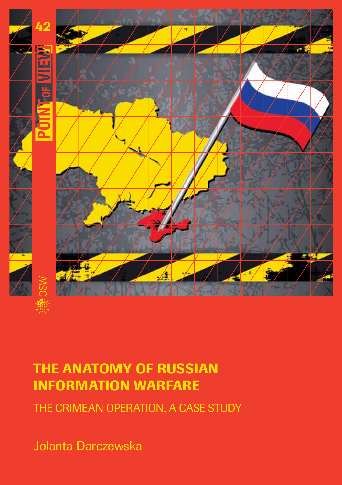

# The anatomy of Russian information warfare

the Crimean operation, a case study

Jolanta Darczewska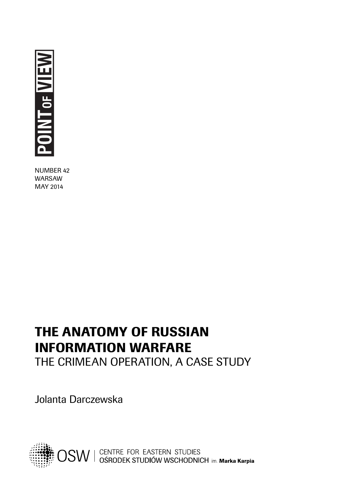

NUMBER 42 WARSAW MAY 2014

# The anatomy of Russian information warfare

the Crimean operation, a case study

Jolanta Darczewska

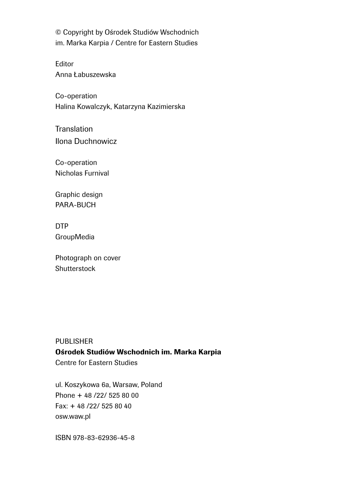© Copyright by Ośrodek Studiów Wschodnich im. Marka Karpia / Centre for Eastern Studies

Editor Anna Łabuszewska

Co-operation Halina Kowalczyk, Katarzyna Kazimierska

**Translation** Ilona Duchnowicz

Co-operation Nicholas Furnival

Graphic design PARA-BUCH

DTP **GroupMedia** 

Photograph on cover Shutterstock

# **PUBLISHER** Ośrodek Studiów Wschodnich im. Marka Karpia

Centre for Eastern Studies

ul. Koszykowa 6a, Warsaw, Poland Phone + 48 /22/ 525 80 00 Fax: + 48 /22/ 525 80 40 osw.waw.pl

ISBN 978-83-62936-45-8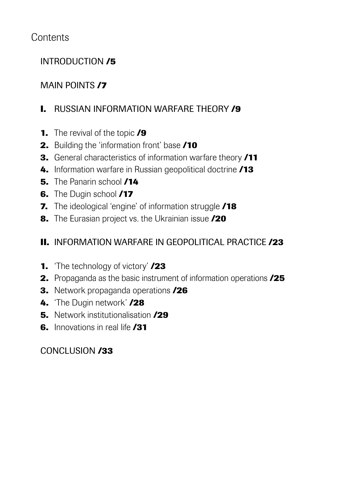# **Contents**

### Introduction **/5**

# MAIN POINTS **/7**

### **I.** Russian information warfare theory **/9**

- **1.** The revival of the topic **/9**
- **2.** Building the 'information front' base **/10**
- **3.** General characteristics of information warfare theory **/11**
- **4.** Information warfare in Russian geopolitical doctrine **/13**
- **5.** The Panarin school **/14**
- **6.** The Dugin school **/17**
- **7.** The ideological 'engine' of information struggle **/18**
- **8.** The Eurasian project vs. the Ukrainian issue **/20**

### **II.** Information warfare in geopolitical practice **/23**

- **1.** 'The technology of victory' **/23**
- **2.** Propaganda as the basic instrument of information operations **/25**
- **3.** Network propaganda operations **/26**
- **4.** 'The Dugin network' **/28**
- **5.** Network institutionalisation **/29**
- **6.** Innovations in real life **/31**

### Conclusion **/33**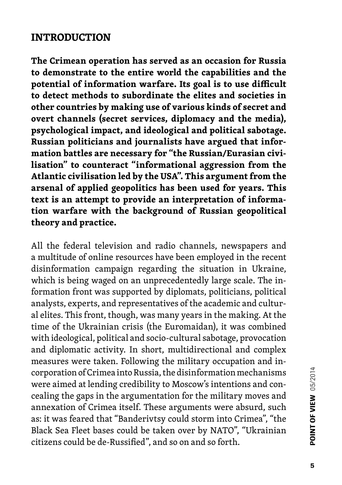### **Introduction**

**The Crimean operation has served as an occasion for Russia to demonstrate to the entire world the capabilities and the potential of information warfare. Its goal is to use difficult to detect methods to subordinate the elites and societies in other countries by making use of various kinds of secret and overt channels (secret services, diplomacy and the media), psychological impact, and ideological and political sabotage. Russian politicians and journalists have argued that information battles are necessary for "the Russian/Eurasian civilisation" to counteract "informational aggression from the Atlantic civilisation led by the USA". This argument from the arsenal of applied geopolitics has been used for years. This text is an attempt to provide an interpretation of information warfare with the background of Russian geopolitical theory and practice.**

All the federal television and radio channels, newspapers and a multitude of online resources have been employed in the recent disinformation campaign regarding the situation in Ukraine, which is being waged on an unprecedentedly large scale. The information front was supported by diplomats, politicians, political analysts, experts, and representatives of the academic and cultural elites. This front, though, was many years in the making. At the time of the Ukrainian crisis (the Euromaidan), it was combined with ideological, political and socio-cultural sabotage, provocation and diplomatic activity. In short, multidirectional and complex measures were taken. Following the military occupation and incorporation of Crimea into Russia, the disinformation mechanisms were aimed at lending credibility to Moscow's intentions and concealing the gaps in the argumentation for the military moves and annexation of Crimea itself. These arguments were absurd, such as: it was feared that "Banderivtsy could storm into Crimea", "the Black Sea Fleet bases could be taken over by NATO", "Ukrainian citizens could be de-Russified", and so on and so forth.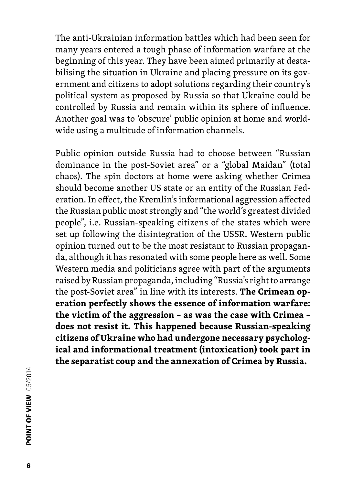The anti-Ukrainian information battles which had been seen for many years entered a tough phase of information warfare at the beginning of this year. They have been aimed primarily at destabilising the situation in Ukraine and placing pressure on its government and citizens to adopt solutions regarding their country's political system as proposed by Russia so that Ukraine could be controlled by Russia and remain within its sphere of influence. Another goal was to 'obscure' public opinion at home and worldwide using a multitude of information channels.

Public opinion outside Russia had to choose between "Russian dominance in the post-Soviet area" or a "global Maidan" (total chaos). The spin doctors at home were asking whether Crimea should become another US state or an entity of the Russian Federation. In effect, the Kremlin's informational aggression affected the Russian public most strongly and "the world's greatest divided people", i.e. Russian-speaking citizens of the states which were set up following the disintegration of the USSR. Western public opinion turned out to be the most resistant to Russian propaganda, although it has resonated with some people here as well. Some Western media and politicians agree with part of the arguments raised by Russian propaganda, including "Russia's right to arrange the post-Soviet area" in line with its interests. **The Crimean operation perfectly shows the essence of information warfare: the victim of the aggression – as was the case with Crimea – does not resist it. This happened because Russian-speaking citizens of Ukraine who had undergone necessary psychological and informational treatment (intoxication) took part in the separatist coup and the annexation of Crimea by Russia.**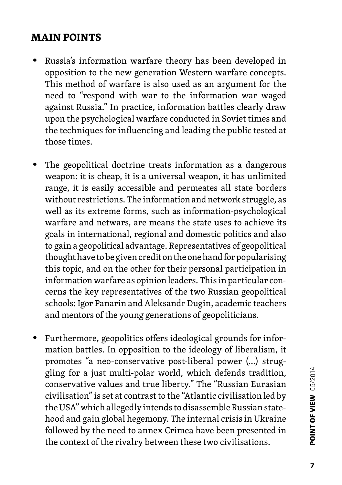# **MAIN POINTS**

- Russia's information warfare theory has been developed in opposition to the new generation Western warfare concepts. This method of warfare is also used as an argument for the need to "respond with war to the information war waged against Russia." In practice, information battles clearly draw upon the psychological warfare conducted in Soviet times and the techniques for influencing and leading the public tested at those times.
- The geopolitical doctrine treats information as a dangerous weapon: it is cheap, it is a universal weapon, it has unlimited range, it is easily accessible and permeates all state borders without restrictions. The information and network struggle, as well as its extreme forms, such as information-psychological warfare and netwars, are means the state uses to achieve its goals in international, regional and domestic politics and also to gain a geopolitical advantage. Representatives of geopolitical thought have to be given credit on the one hand for popularising this topic, and on the other for their personal participation in information warfare as opinion leaders. This in particular concerns the key representatives of the two Russian geopolitical schools: Igor Panarin and Aleksandr Dugin, academic teachers and mentors of the young generations of geopoliticians.
- Furthermore, geopolitics offers ideological grounds for information battles. In opposition to the ideology of liberalism, it promotes "a neo-conservative post-liberal power (…) struggling for a just multi-polar world, which defends tradition, conservative values and true liberty." The "Russian Eurasian civilisation" is set at contrast to the "Atlantic civilisation led by the USA" which allegedly intends to disassemble Russian statehood and gain global hegemony. The internal crisis in Ukraine followed by the need to annex Crimea have been presented in the context of the rivalry between these two civilisations.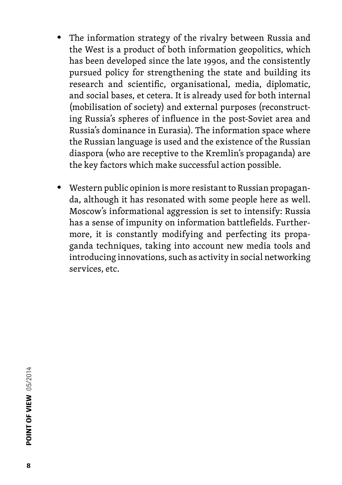- The information strategy of the rivalry between Russia and the West is a product of both information geopolitics, which has been developed since the late 1990s, and the consistently pursued policy for strengthening the state and building its research and scientific, organisational, media, diplomatic, and social bases, et cetera. It is already used for both internal (mobilisation of society) and external purposes (reconstructing Russia's spheres of influence in the post-Soviet area and Russia's dominance in Eurasia). The information space where the Russian language is used and the existence of the Russian diaspora (who are receptive to the Kremlin's propaganda) are the key factors which make successful action possible.
- • Western public opinion is more resistant to Russian propaganda, although it has resonated with some people here as well. Moscow's informational aggression is set to intensify: Russia has a sense of impunity on information battlefields. Furthermore, it is constantly modifying and perfecting its propaganda techniques, taking into account new media tools and introducing innovations, such as activity in social networking services, etc.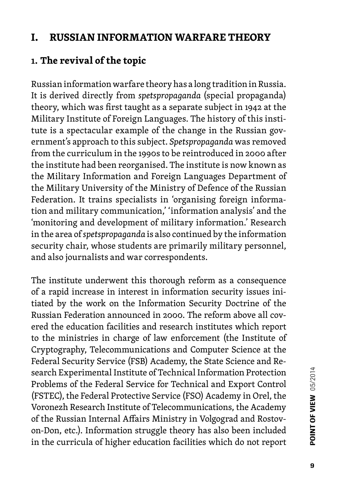# **I. Russian information warfare theory**

# **1. The revival of the topic**

Russian information warfare theory has a long tradition in Russia. It is derived directly from *spetspropaganda* (special propaganda) theory, which was first taught as a separate subject in 1942 at the Military Institute of Foreign Languages. The history of this institute is a spectacular example of the change in the Russian government's approach to this subject. *Spetspropaganda* was removed from the curriculum in the 1990s to be reintroduced in 2000 after the institute had been reorganised. The institute is now known as the Military Information and Foreign Languages Department of the Military University of the Ministry of Defence of the Russian Federation. It trains specialists in 'organising foreign information and military communication,' 'information analysis' and the 'monitoring and development of military information.' Research in the area of *spetspropaganda* is also continued by the information security chair, whose students are primarily military personnel, and also journalists and war correspondents.

The institute underwent this thorough reform as a consequence of a rapid increase in interest in information security issues initiated by the work on the Information Security Doctrine of the Russian Federation announced in 2000. The reform above all covered the education facilities and research institutes which report to the ministries in charge of law enforcement (the Institute of Cryptography, Telecommunications and Computer Science at the Federal Security Service (FSB) Academy, the State Science and Research Experimental Institute of Technical Information Protection Problems of the Federal Service for Technical and Export Control (FSTEC), the Federal Protective Service (FSO) Academy in Orel, the Voronezh Research Institute of Telecommunications, the Academy of the Russian Internal Affairs Ministry in Volgograd and Rostovon-Don, etc.). Information struggle theory has also been included in the curricula of higher education facilities which do not report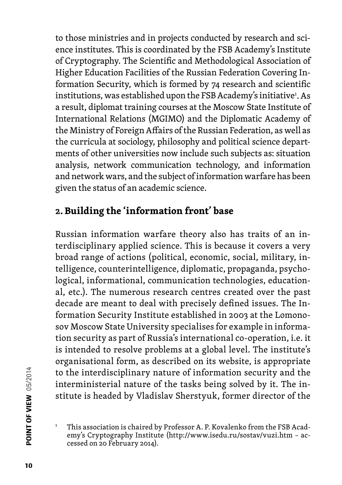to those ministries and in projects conducted by research and science institutes. This is coordinated by the FSB Academy's Institute of Cryptography. The Scientific and Methodological Association of Higher Education Facilities of the Russian Federation Covering Information Security, which is formed by 74 research and scientific institutions, was established upon the FSB Academy's initiative<sup>1</sup>. As a result, diplomat training courses at the Moscow State Institute of International Relations (MGIMO) and the Diplomatic Academy of the Ministry of Foreign Affairs of the Russian Federation, as well as the curricula at sociology, philosophy and political science departments of other universities now include such subjects as: situation analysis, network communication technology, and information and network wars, and the subject of information warfare has been given the status of an academic science.

# **2. Building the 'information front' base**

Russian information warfare theory also has traits of an interdisciplinary applied science. This is because it covers a very broad range of actions (political, economic, social, military, intelligence, counterintelligence, diplomatic, propaganda, psychological, informational, communication technologies, educational, etc.). The numerous research centres created over the past decade are meant to deal with precisely defined issues. The Information Security Institute established in 2003 at the Lomonosov Moscow State University specialises for example in information security as part of Russia's international co-operation, i.e. it is intended to resolve problems at a global level. The institute's organisational form, as described on its website, is appropriate to the interdisciplinary nature of information security and the interministerial nature of the tasks being solved by it. The institute is headed by Vladislav Sherstyuk, former director of the

This association is chaired by Professor A. P. Kovalenko from the FSB Academy's Cryptography Institute (http://www.isedu.ru/sostav/vuzi.htm – accessed on 20 February 2014).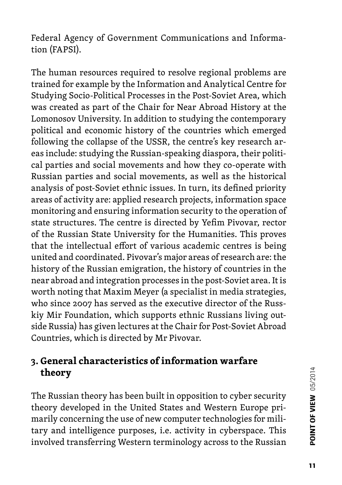Federal Agency of Government Communications and Information (FAPSI).

The human resources required to resolve regional problems are trained for example by the Information and Analytical Centre for Studying Socio-Political Processes in the Post-Soviet Area, which was created as part of the Chair for Near Abroad History at the Lomonosov University. In addition to studying the contemporary political and economic history of the countries which emerged following the collapse of the USSR, the centre's key research areas include: studying the Russian-speaking diaspora, their political parties and social movements and how they co-operate with Russian parties and social movements, as well as the historical analysis of post-Soviet ethnic issues. In turn, its defined priority areas of activity are: applied research projects, information space monitoring and ensuring information security to the operation of state structures. The centre is directed by Yefim Pivovar, rector of the Russian State University for the Humanities. This proves that the intellectual effort of various academic centres is being united and coordinated. Pivovar's major areas of research are: the history of the Russian emigration, the history of countries in the near abroad and integration processes in the post-Soviet area. It is worth noting that Maxim Meyer (a specialist in media strategies, who since 2007 has served as the executive director of the Russkiy Mir Foundation, which supports ethnic Russians living outside Russia) has given lectures at the Chair for Post-Soviet Abroad Countries, which is directed by Mr Pivovar.

### **3. General characteristics of information warfare theory**

The Russian theory has been built in opposition to cyber security theory developed in the United States and Western Europe primarily concerning the use of new computer technologies for military and intelligence purposes, i.e. activity in cyberspace. This involved transferring Western terminology across to the Russian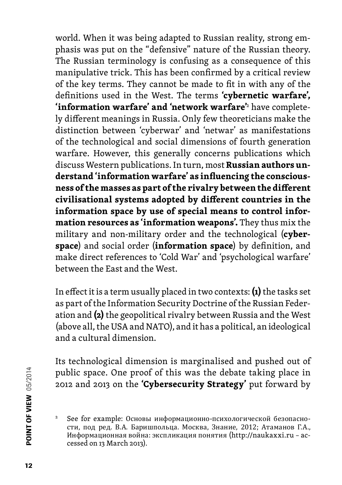world. When it was being adapted to Russian reality, strong emphasis was put on the "defensive" nature of the Russian theory. The Russian terminology is confusing as a consequence of this manipulative trick. This has been confirmed by a critical review of the key terms. They cannot be made to fit in with any of the definitions used in the West. The terms **'cybernetic warfare', 'information warfare' and 'network warfare'**<sup>2</sup> have completely different meanings in Russia. Only few theoreticians make the distinction between 'cyberwar' and 'netwar' as manifestations of the technological and social dimensions of fourth generation warfare. However, this generally concerns publications which discuss Western publications. In turn, most **Russian authors understand 'information warfare' as influencing the consciousness of the masses as part of the rivalry between the different civilisational systems adopted by different countries in the information space by use of special means to control information resources as 'information weapons'.** They thus mix the military and non-military order and the technological (**cyberspace**) and social order (**information space**) by definition, and make direct references to 'Cold War' and 'psychological warfare' between the East and the West.

In effect it is a term usually placed in two contexts: **(1)** the tasks set as part of the Information Security Doctrine of the Russian Federation and **(2)** the geopolitical rivalry between Russia and the West (above all, the USA and NATO), and it has a political, an ideological and a cultural dimension.

Its technological dimension is marginalised and pushed out of public space. One proof of this was the debate taking place in 2012 and 2013 on the **'Cybersecurity Strategy'** put forward by

<sup>&</sup>lt;sup>2</sup> See for example: Основы информационно-психологической безопасности, под ред. В.А. Баришпольца. Москва, Знание, 2012; Атаманов Г.А., Информационная война: экспликация понятия (http://naukaxxi.ru – accessed on 13 March 2013).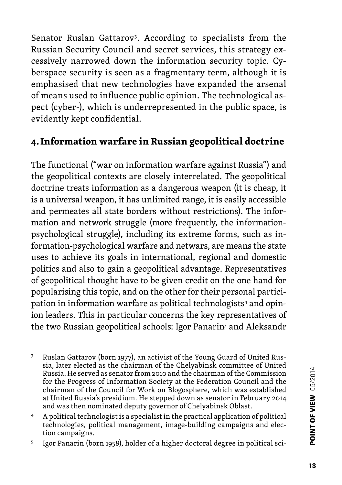Senator Ruslan Gattarov3 . According to specialists from the Russian Security Council and secret services, this strategy excessively narrowed down the information security topic. Cyberspace security is seen as a fragmentary term, although it is emphasised that new technologies have expanded the arsenal of means used to influence public opinion. The technological aspect (cyber-), which is underrepresented in the public space, is evidently kept confidential.

# **4.Information warfare in Russian geopolitical doctrine**

The functional ("war on information warfare against Russia") and the geopolitical contexts are closely interrelated. The geopolitical doctrine treats information as a dangerous weapon (it is cheap, it is a universal weapon, it has unlimited range, it is easily accessible and permeates all state borders without restrictions). The information and network struggle (more frequently, the informationpsychological struggle), including its extreme forms, such as information-psychological warfare and netwars, are means the state uses to achieve its goals in international, regional and domestic politics and also to gain a geopolitical advantage. Representatives of geopolitical thought have to be given credit on the one hand for popularising this topic, and on the other for their personal participation in information warfare as political technologists<sup>4</sup> and opinion leaders. This in particular concerns the key representatives of the two Russian geopolitical schools: Igor Panarin<sup>s</sup> and Aleksandr

- <sup>3</sup> Ruslan Gattarov (born 1977), an activist of the Young Guard of United Russia, later elected as the chairman of the Chelyabinsk committee of United Russia. He served as senator from 2010 and the chairman of the Commission for the Progress of Information Society at the Federation Council and the chairman of the Council for Work on Blogosphere, which was established at United Russia's presidium. He stepped down as senator in February 2014 and was then nominated deputy governor of Chelyabinsk Oblast.
- <sup>4</sup> A political technologist is a specialist in the practical application of political technologies, political management, image-building campaigns and election campaigns.
- <sup>5</sup> Igor Panarin (born 1958), holder of a higher doctoral degree in political sci-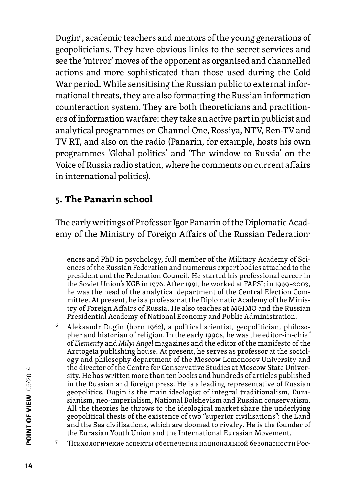Dugin6 , academic teachers and mentors of the young generations of geopoliticians. They have obvious links to the secret services and see the 'mirror' moves of the opponent as organised and channelled actions and more sophisticated than those used during the Cold War period. While sensitising the Russian public to external informational threats, they are also formatting the Russian information counteraction system. They are both theoreticians and practitioners of information warfare: they take an active part in publicist and analytical programmes on Channel One, Rossiya, NTV, Ren-TV and TV RT, and also on the radio (Panarin, for example, hosts his own programmes 'Global politics' and 'The window to Russia' on the Voice of Russia radio station, where he comments on current affairs in international politics).

# **5. The Panarin school**

The early writings of Professor Igor Panarin of the Diplomatic Academy of the Ministry of Foreign Affairs of the Russian Federation<sup>7</sup>

ences and PhD in psychology, full member of the Military Academy of Sciences of the Russian Federation and numerous expert bodies attached to the president and the Federation Council. He started his professional career in the Soviet Union's KGB in 1976. After 1991, he worked at FAPSI; in 1999–2003, he was the head of the analytical department of the Central Election Committee. At present, he is a professor at the Diplomatic Academy of the Ministry of Foreign Affairs of Russia. He also teaches at MGIMO and the Russian Presidential Academy of National Economy and Public Administration.

- <sup>6</sup> Aleksandr Dugin (born 1962), a political scientist, geopolitician, philosopher and historian of religion. In the early 1990s, he was the editor-in-chief of *Elementy* and *Milyi Angel* magazines and the editor of the manifesto of the Arctogeia publishing house. At present, he serves as professor at the sociology and philosophy department of the Moscow Lomonosov University and the director of the Centre for Conservative Studies at Moscow State University. He has written more than ten books and hundreds of articles published in the Russian and foreign press. He is a leading representative of Russian geopolitics. Dugin is the main ideologist of integral traditionalism, Eurasianism, neo-imperialism, National Bolshevism and Russian conservatism. All the theories he throws to the ideological market share the underlying geopolitical thesis of the existence of two "superior civilisations": the Land and the Sea civilisations, which are doomed to rivalry. He is the founder of the Eurasian Youth Union and the International Eurasian Movement.
- <sup>7</sup> 'Психологичекие аспекты обеспечения национальной безопасности Рос-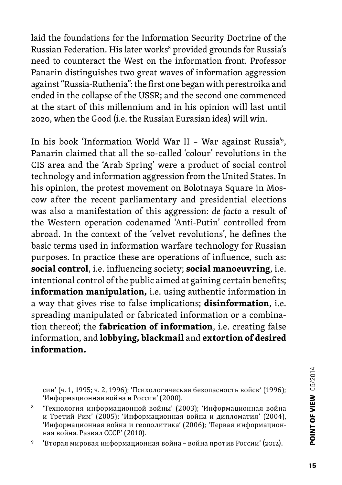laid the foundations for the Information Security Doctrine of the Russian Federation. His later works<sup>8</sup> provided grounds for Russia's need to counteract the West on the information front. Professor Panarin distinguishes two great waves of information aggression against "Russia-Ruthenia": the first one began with perestroika and ended in the collapse of the USSR; and the second one commenced at the start of this millennium and in his opinion will last until 2020, when the Good (i.e. the Russian Eurasian idea) will win.

In his book 'Information World War II – War against Russia'9 , Panarin claimed that all the so-called 'colour' revolutions in the CIS area and the 'Arab Spring' were a product of social control technology and information aggression from the United States. In his opinion, the protest movement on Bolotnaya Square in Moscow after the recent parliamentary and presidential elections was also a manifestation of this aggression: *de facto* a result of the Western operation codenamed 'Anti-Putin' controlled from abroad. In the context of the 'velvet revolutions', he defines the basic terms used in information warfare technology for Russian purposes. In practice these are operations of influence, such as: **social control**, i.e. influencing society; **social manoeuvring**, i.e. intentional control of the public aimed at gaining certain benefits; **information manipulation,** i.e. using authentic information in a way that gives rise to false implications; **disinformation**, i.e. spreading manipulated or fabricated information or a combination thereof; the **fabrication of information**, i.e. creating false information, and **lobbying, blackmail** and **extortion of desired information.**

сии' (ч. 1, 1995; ч. 2, 1996); 'Психологическая безопасность войск' (1996); 'Информационная война и Россия' (2000).

<sup>&</sup>lt;sup>8</sup> 'Технология информационной войны' (2003); 'Информационная война и Третий Рим' (2005); 'Информационная война и дипломатия' (2004), 'Информационная война и геополитика' (2006); 'Первая информационная война. Развал СССР' (2010).

<sup>9</sup> 'Вторая мировая информационная война – война против России' (2012).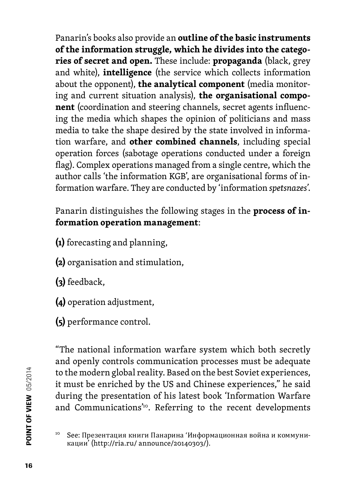Panarin's books also provide an **outline of the basic instruments of the information struggle, which he divides into the categories of secret and open.** These include: **propaganda** (black, grey and white), **intelligence** (the service which collects information about the opponent), **the analytical component** (media monitoring and current situation analysis), **the organisational component** (coordination and steering channels, secret agents influencing the media which shapes the opinion of politicians and mass media to take the shape desired by the state involved in information warfare, and **other combined channels**, including special operation forces (sabotage operations conducted under a foreign flag). Complex operations managed from a single centre, which the author calls 'the information KGB', are organisational forms of information warfare. They are conducted by 'information *spetsnazes'*.

### Panarin distinguishes the following stages in the **process of information operation management**:

- **(1)** forecasting and planning,
- **(2)** organisation and stimulation,
- **(3)** feedback,
- **(4)** operation adjustment,
- **(5)** performance control.

"The national information warfare system which both secretly and openly controls communication processes must be adequate to the modern global reality. Based on the best Soviet experiences, it must be enriched by the US and Chinese experiences," he said during the presentation of his latest book 'Information Warfare and Communications<sup>10</sup>. Referring to the recent developments

<sup>10</sup> See: Презентация книги Панарина 'Информационная война и коммуникации' (http://ria.ru/ announce/20140303/).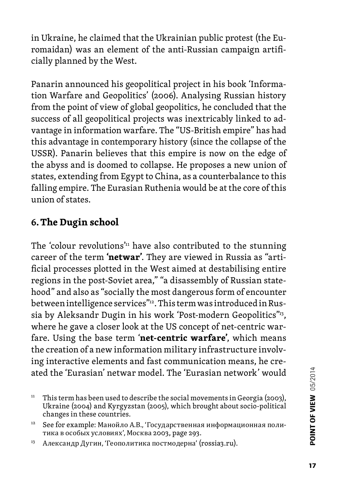in Ukraine, he claimed that the Ukrainian public protest (the Euromaidan) was an element of the anti-Russian campaign artificially planned by the West.

Panarin announced his geopolitical project in his book 'Information Warfare and Geopolitics' (2006). Analysing Russian history from the point of view of global geopolitics, he concluded that the success of all geopolitical projects was inextricably linked to advantage in information warfare. The "US-British empire" has had this advantage in contemporary history (since the collapse of the USSR). Panarin believes that this empire is now on the edge of the abyss and is doomed to collapse. He proposes a new union of states, extending from Egypt to China, as a counterbalance to this falling empire. The Eurasian Ruthenia would be at the core of this union of states.

# **6.The Dugin school**

The 'colour revolutions'<sup>11</sup> have also contributed to the stunning career of the term **'netwar'**. They are viewed in Russia as "artificial processes plotted in the West aimed at destabilising entire regions in the post-Soviet area," "a disassembly of Russian statehood" and also as "socially the most dangerous form of encounter between intelligence services"12. This term was introduced in Russia by Aleksandr Dugin in his work 'Post-modern Geopolitics"<sup>13</sup>, where he gave a closer look at the US concept of net-centric warfare. Using the base term '**net-centric warfare'**, which means the creation of a new information military infrastructure involving interactive elements and fast communication means, he created the 'Eurasian' netwar model. The 'Eurasian network' would

<sup>&</sup>lt;sup>11</sup> This term has been used to describe the social movements in Georgia (2003), Ukraine (2004) and Kyrgyzstan (2005), which brought about socio-political changes in these countries.

See for example: Манойло А.В., 'Государственная информационная политика в особых условиях', Москва 2003, page 293.

<sup>&</sup>lt;sup>13</sup> Александр Дугин, 'Геополитика постмодерна' (rossia3.ru).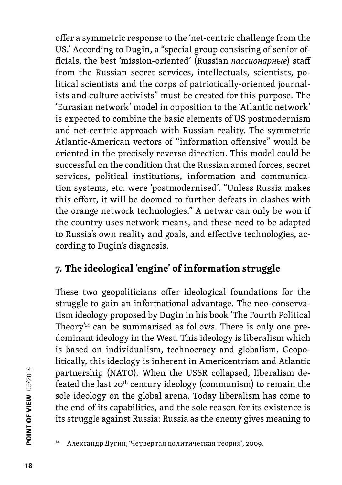offer a symmetric response to the 'net-centric challenge from the US.' According to Dugin, a "special group consisting of senior officials, the best 'mission-oriented' (Russian *пассионарные*) staff from the Russian secret services, intellectuals, scientists, political scientists and the corps of patriotically-oriented journalists and culture activists" must be created for this purpose. The 'Eurasian network' model in opposition to the 'Atlantic network' is expected to combine the basic elements of US postmodernism and net-centric approach with Russian reality. The symmetric Atlantic-American vectors of "information offensive" would be oriented in the precisely reverse direction. This model could be successful on the condition that the Russian armed forces, secret services, political institutions, information and communication systems, etc. were 'postmodernised'. "Unless Russia makes this effort, it will be doomed to further defeats in clashes with the orange network technologies." A netwar can only be won if the country uses network means, and these need to be adapted to Russia's own reality and goals, and effective technologies, according to Dugin's diagnosis.

# **7. The ideological 'engine' of information struggle**

These two geopoliticians offer ideological foundations for the struggle to gain an informational advantage. The neo-conservatism ideology proposed by Dugin in his book 'The Fourth Political Theory<sup>'14</sup> can be summarised as follows. There is only one predominant ideology in the West. This ideology is liberalism which is based on individualism, technocracy and globalism. Geopolitically, this ideology is inherent in Americentrism and Atlantic partnership (NATO). When the USSR collapsed, liberalism defeated the last 20<sup>th</sup> century ideology (communism) to remain the sole ideology on the global arena. Today liberalism has come to the end of its capabilities, and the sole reason for its existence is its struggle against Russia: Russia as the enemy gives meaning to

<sup>14</sup> Aлександр Дугин, 'Четвертая политическая теория', 2009.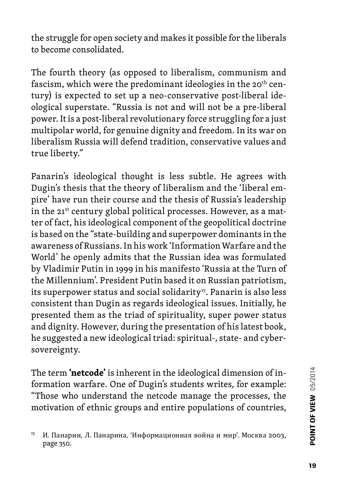the struggle for open society and makes it possible for the liberals to become consolidated.

The fourth theory (as opposed to liberalism, communism and fascism, which were the predominant ideologies in the  $20<sup>th</sup>$  century) is expected to set up a neo-conservative post-liberal ideological superstate. "Russia is not and will not be a pre-liberal power. It is a post-liberal revolutionary force struggling for a just multipolar world, for genuine dignity and freedom. In its war on liberalism Russia will defend tradition, conservative values and true liberty."

Panarin's ideological thought is less subtle. He agrees with Dugin's thesis that the theory of liberalism and the 'liberal empire' have run their course and the thesis of Russia's leadership in the 21<sup>st</sup> century global political processes. However, as a matter of fact, his ideological component of the geopolitical doctrine is based on the "state-building and superpower dominants in the awareness of Russians. In his work 'Information Warfare and the World' he openly admits that the Russian idea was formulated by Vladimir Putin in 1999 in his manifesto 'Russia at the Turn of the Millennium'. President Putin based it on Russian patriotism, its superpower status and social solidarity<sup>15</sup>. Panarin is also less consistent than Dugin as regards ideological issues. Initially, he presented them as the triad of spirituality, super power status and dignity. However, during the presentation of his latest book, he suggested a new ideological triad: spiritual-, state- and cybersovereignty.

The term **'netcode'** is inherent in the ideological dimension of information warfare. One of Dugin's students writes, for example: "Those who understand the netcode manage the processes, the motivation of ethnic groups and entire populations of countries,

<sup>&</sup>lt;sup>15</sup> И. Панарин, Л. Панарина, 'Информационная война и мир'. Москва 2003, page 350.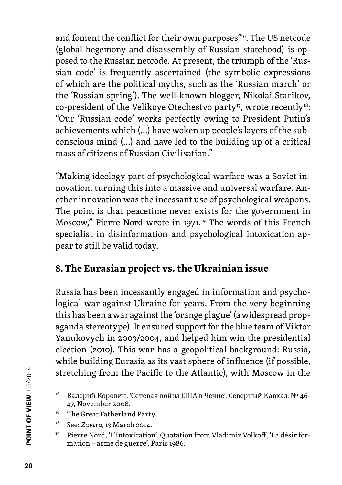and foment the conflict for their own purposes"<sup>16</sup>. The US netcode (global hegemony and disassembly of Russian statehood) is opposed to the Russian netcode. At present, the triumph of the 'Russian code' is frequently ascertained (the symbolic expressions of which are the political myths, such as the 'Russian march' or the 'Russian spring'). The well-known blogger, Nikolai Starikov, co-president of the Velikove Otechestvo party<sup>17</sup>, wrote recently<sup>18</sup>: "Our 'Russian code' works perfectly owing to President Putin's achievements which (…) have woken up people's layers of the subconscious mind (…) and have led to the building up of a critical mass of citizens of Russian Civilisation."

"Making ideology part of psychological warfare was a Soviet innovation, turning this into a massive and universal warfare. Another innovation was the incessant use of psychological weapons. The point is that peacetime never exists for the government in Moscow," Pierre Nord wrote in 1971.<sup>19</sup> The words of this French specialist in disinformation and psychological intoxication appear to still be valid today.

# **8.The Eurasian project vs. the Ukrainian issue**

Russia has been incessantly engaged in information and psychological war against Ukraine for years. From the very beginning this has been a war against the 'orange plague' (a widespread propaganda stereotype). It ensured support for the blue team of Viktor Yanukovych in 2003/2004, and helped him win the presidential election (2010). This war has a geopolitical background: Russia, while building Eurasia as its vast sphere of influence (if possible, stretching from the Pacific to the Atlantic), with Moscow in the

<sup>19</sup> Pierre Nord, 'L'Intoxication'. Quotation from Vladimir Volkoff, 'La désinformation – arme de guerre', Paris 1986.

<sup>16</sup> Валерий Коровин, 'Сетевая война США в Чечне', Северный Кавказ, № 46- 47, November 2008.

<sup>&</sup>lt;sup>17</sup> The Great Fatherland Party.

<sup>18</sup> See: *Zavtra*, 13 March 2014.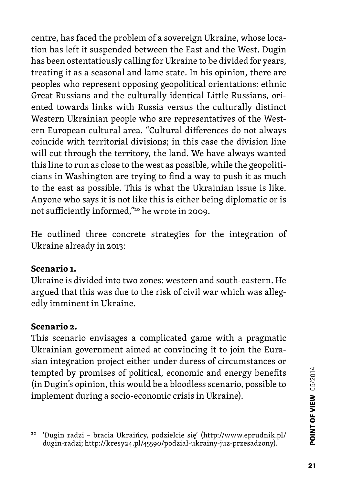centre, has faced the problem of a sovereign Ukraine, whose location has left it suspended between the East and the West. Dugin has been ostentatiously calling for Ukraine to be divided for years, treating it as a seasonal and lame state. In his opinion, there are peoples who represent opposing geopolitical orientations: ethnic Great Russians and the culturally identical Little Russians, oriented towards links with Russia versus the culturally distinct Western Ukrainian people who are representatives of the Western European cultural area. "Cultural differences do not always coincide with territorial divisions; in this case the division line will cut through the territory, the land. We have always wanted this line to run as close to the west as possible, while the geopoliticians in Washington are trying to find a way to push it as much to the east as possible. This is what the Ukrainian issue is like. Anyone who says it is not like this is either being diplomatic or is not sufficiently informed,"20 he wrote in 2009.

He outlined three concrete strategies for the integration of Ukraine already in 2013:

#### **Scenario 1.**

Ukraine is divided into two zones: western and south-eastern. He argued that this was due to the risk of civil war which was allegedly imminent in Ukraine.

#### **Scenario 2.**

This scenario envisages a complicated game with a pragmatic Ukrainian government aimed at convincing it to join the Eurasian integration project either under duress of circumstances or tempted by promises of political, economic and energy benefits (in Dugin's opinion, this would be a bloodless scenario, possible to implement during a socio-economic crisis in Ukraine).

<sup>20</sup> 'Dugin radzi – bracia Ukraińcy, podzielcie się' (http://www.eprudnik.pl/ dugin-radzi; http://kresy24.pl/45590/podział-ukrainy-juz-przesadzony).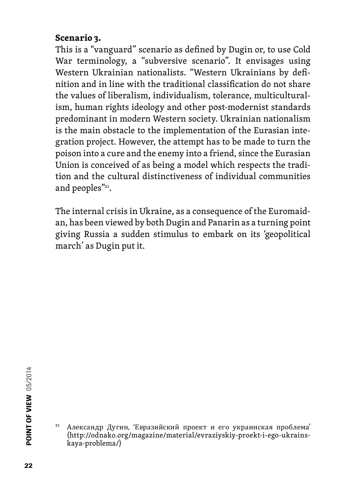#### **Scenario 3.**

This is a "vanguard" scenario as defined by Dugin or, to use Cold War terminology, a "subversive scenario". It envisages using Western Ukrainian nationalists. "Western Ukrainians by definition and in line with the traditional classification do not share the values of liberalism, individualism, tolerance, multiculturalism, human rights ideology and other post-modernist standards predominant in modern Western society. Ukrainian nationalism is the main obstacle to the implementation of the Eurasian integration project. However, the attempt has to be made to turn the poison into a cure and the enemy into a friend, since the Eurasian Union is conceived of as being a model which respects the tradition and the cultural distinctiveness of individual communities and peoples"<sup>21</sup>.

The internal crisis in Ukraine, as a consequence of the Euromaidan, has been viewed by both Dugin and Panarin as a turning point giving Russia a sudden stimulus to embark on its 'geopolitical march' as Dugin put it.

<sup>21</sup> Александр Дугин, 'Евразийский проект и его украинская проблема' (http://odnako.org/magazine/material/evraziyskiy-proekt-i-ego-ukrainskaya-problema/)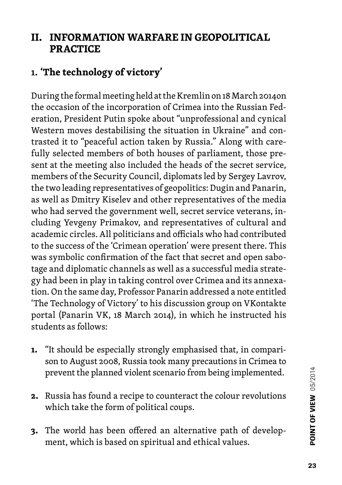# **II. Information warfare in geopolitical practice**

# **1. 'The technology of victory'**

During the formal meeting held at the Kremlin on 18 March 2014on the occasion of the incorporation of Crimea into the Russian Federation, President Putin spoke about "unprofessional and cynical Western moves destabilising the situation in Ukraine" and contrasted it to "peaceful action taken by Russia." Along with carefully selected members of both houses of parliament, those present at the meeting also included the heads of the secret service, members of the Security Council, diplomats led by Sergey Lavrov, the two leading representatives of geopolitics: Dugin and Panarin, as well as Dmitry Kiselev and other representatives of the media who had served the government well, secret service veterans, including Yevgeny Primakov, and representatives of cultural and academic circles. All politicians and officials who had contributed to the success of the 'Crimean operation' were present there. This was symbolic confirmation of the fact that secret and open sabotage and diplomatic channels as well as a successful media strategy had been in play in taking control over Crimea and its annexation. On the same day, Professor Panarin addressed a note entitled 'The Technology of Victory' to his discussion group on VKontakte portal (Panarin VK, 18 March 2014), in which he instructed his students as follows:

- **1.** "It should be especially strongly emphasised that, in comparison to August 2008, Russia took many precautions in Crimea to prevent the planned violent scenario from being implemented.
- **2.** Russia has found a recipe to counteract the colour revolutions which take the form of political coups.
- **3.** The world has been offered an alternative path of development, which is based on spiritual and ethical values.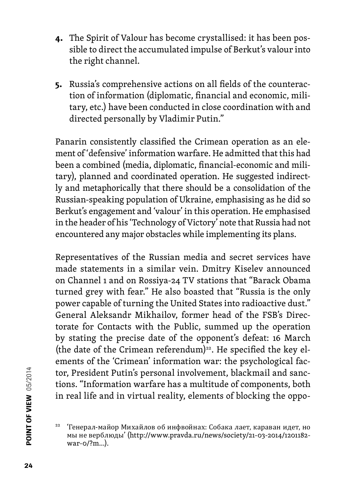- **4.** The Spirit of Valour has become crystallised: it has been possible to direct the accumulated impulse of Berkut's valour into the right channel.
- **5.** Russia's comprehensive actions on all fields of the counteraction of information (diplomatic, financial and economic, military, etc.) have been conducted in close coordination with and directed personally by Vladimir Putin."

Panarin consistently classified the Crimean operation as an element of 'defensive' information warfare. He admitted that this had been a combined (media, diplomatic, financial-economic and military), planned and coordinated operation. He suggested indirectly and metaphorically that there should be a consolidation of the Russian-speaking population of Ukraine, emphasising as he did so Berkut's engagement and 'valour' in this operation. He emphasised in the header of his 'Technology of Victory' note that Russia had not encountered any major obstacles while implementing its plans.

Representatives of the Russian media and secret services have made statements in a similar vein. Dmitry Kiselev announced on Channel 1 and on Rossiya-24 TV stations that "Barack Obama turned grey with fear." He also boasted that "Russia is the only power capable of turning the United States into radioactive dust." General Aleksandr Mikhailov, former head of the FSB's Directorate for Contacts with the Public, summed up the operation by stating the precise date of the opponent's defeat: 16 March (the date of the Crimean referendum) $^{22}$ . He specified the key elements of the 'Crimean' information war: the psychological factor, President Putin's personal involvement, blackmail and sanctions. "Information warfare has a multitude of components, both in real life and in virtual reality, elements of blocking the oppo-

<sup>&</sup>lt;sup>22</sup> 'Генерал-майор Михайлов об инфвойнах: Собака лает, караван идет, но мы не верблюды' (http://www.pravda.ru/news/society/21-03-2014/1201182 war-0/?m...).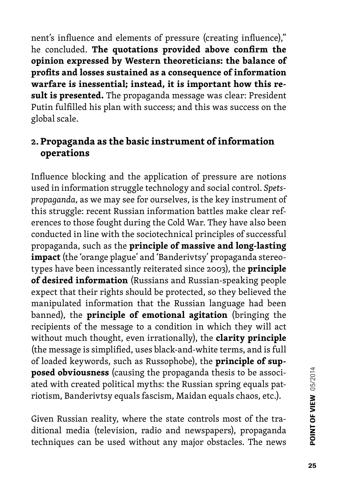nent's influence and elements of pressure (creating influence)," he concluded. **The quotations provided above confirm the opinion expressed by Western theoreticians: the balance of profits and losses sustained as a consequence of information warfare is inessential; instead, it is important how this result is presented.** The propaganda message was clear: President Putin fulfilled his plan with success; and this was success on the global scale.

### **2. Propaganda as the basic instrument of information operations**

Influence blocking and the application of pressure are notions used in information struggle technology and social control. *Spetspropaganda,* as we may see for ourselves, is the key instrument of this struggle: recent Russian information battles make clear references to those fought during the Cold War. They have also been conducted in line with the sociotechnical principles of successful propaganda, such as the **principle of massive and long-lasting impact** (the 'orange plague' and 'Banderivtsy' propaganda stereotypes have been incessantly reiterated since 2003), the **principle of desired information** (Russians and Russian-speaking people expect that their rights should be protected, so they believed the manipulated information that the Russian language had been banned), the **principle of emotional agitation** (bringing the recipients of the message to a condition in which they will act without much thought, even irrationally), the **clarity principle**  (the message is simplified, uses black-and-white terms, and is full of loaded keywords, such as Russophobe), the **principle of supposed obviousness** (causing the propaganda thesis to be associated with created political myths: the Russian spring equals patriotism, Banderivtsy equals fascism, Maidan equals chaos, etc.).

Given Russian reality, where the state controls most of the traditional media (television, radio and newspapers), propaganda techniques can be used without any major obstacles. The news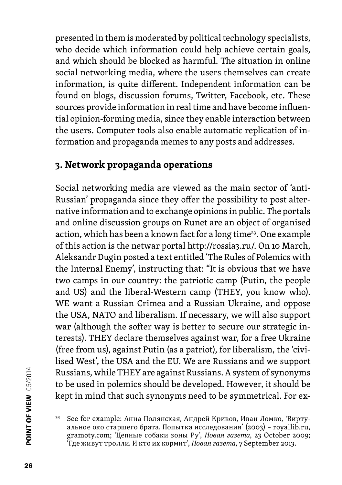presented in them is moderated by political technology specialists, who decide which information could help achieve certain goals, and which should be blocked as harmful. The situation in online social networking media, where the users themselves can create information, is quite different. Independent information can be found on blogs, discussion forums, Twitter, Facebook, etc. These sources provide information in real time and have become influential opinion-forming media, since they enable interaction between the users. Computer tools also enable automatic replication of information and propaganda memes to any posts and addresses.

### **3. Network propaganda operations**

Social networking media are viewed as the main sector of 'anti-Russian' propaganda since they offer the possibility to post alternative information and to exchange opinions in public. The portals and online discussion groups on Runet are an object of organised action, which has been a known fact for a long time<sup>23</sup>. One example of this action is the netwar portal http://rossia3.ru/. On 10 March, Aleksandr Dugin posted a text entitled 'The Rules of Polemics with the Internal Enemy', instructing that: "It is obvious that we have two camps in our country: the patriotic camp (Putin, the people and US) and the liberal-Western camp (THEY, you know who). WE want a Russian Crimea and a Russian Ukraine, and oppose the USA, NATO and liberalism. If necessary, we will also support war (although the softer way is better to secure our strategic interests). THEY declare themselves against war, for a free Ukraine (free from us), against Putin (as a patriot), for liberalism, the 'civilised West', the USA and the EU. We are Russians and we support Russians, while THEY are against Russians. A system of synonyms to be used in polemics should be developed. However, it should be kept in mind that such synonyms need to be symmetrical. For ex-

<sup>&</sup>lt;sup>23</sup> See for example: Анна Полянская, Андрей Кривов, Иван Ломко, 'Виртуальное око старшего брата. Попытка исследования' (2003) – royallib.ru, gramoty.com; 'Цепные собаки зоны Ру', *Новая газета*, 23 October 2009; 'Где живут тролли. И кто их кормит', *Новая газета*, 7 September 2013.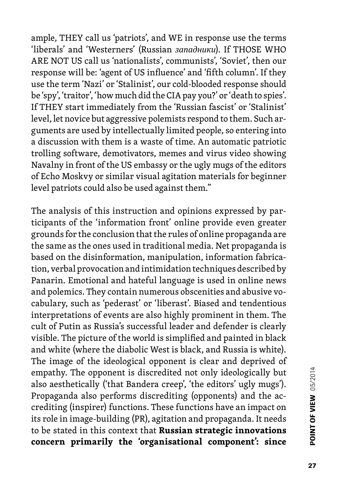ample, THEY call us 'patriots', and WE in response use the terms 'liberals' and 'Westerners' (Russian *западники*). If THOSE WHO ARE NOT US call us 'nationalists', communists', 'Soviet', then our response will be: 'agent of US influence' and 'fifth column'. If they use the term 'Nazi' or 'Stalinist', our cold-blooded response should be 'spy', 'traitor', 'how much did the CIA pay you?' or 'death to spies'. If THEY start immediately from the 'Russian fascist' or 'Stalinist' level, let novice but aggressive polemists respond to them. Such arguments are used by intellectually limited people, so entering into a discussion with them is a waste of time. An automatic patriotic trolling software, demotivators, memes and virus video showing Navalny in front of the US embassy or the ugly mugs of the editors of Echo Moskvy or similar visual agitation materials for beginner level patriots could also be used against them."

The analysis of this instruction and opinions expressed by participants of the 'information front' online provide even greater grounds for the conclusion that the rules of online propaganda are the same as the ones used in traditional media. Net propaganda is based on the disinformation, manipulation, information fabrication, verbal provocation and intimidation techniques described by Panarin. Emotional and hateful language is used in online news and polemics. They contain numerous obscenities and abusive vocabulary, such as 'pederast' or 'liberast'. Biased and tendentious interpretations of events are also highly prominent in them. The cult of Putin as Russia's successful leader and defender is clearly visible. The picture of the world is simplified and painted in black and white (where the diabolic West is black, and Russia is white). The image of the ideological opponent is clear and deprived of empathy. The opponent is discredited not only ideologically but also aesthetically ('that Bandera creep', 'the editors' ugly mugs'). Propaganda also performs discrediting (opponents) and the accrediting (inspirer) functions. These functions have an impact on its role in image-building (PR), agitation and propaganda. It needs to be stated in this context that **Russian strategic innovations concern primarily the 'organisational component': since**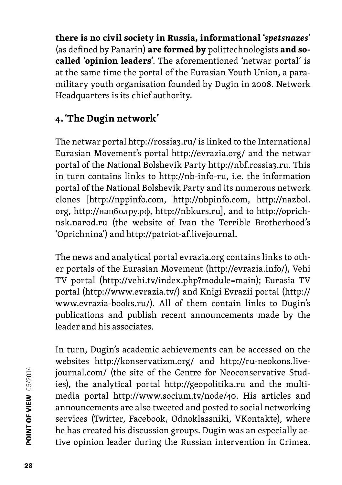**there is no civil society in Russia, informational '***spetsnazes***'**  (as defined by Panarin) **are formed by** polittechnologists **and socalled 'opinion leaders'**. The aforementioned 'netwar portal' is at the same time the portal of the Eurasian Youth Union, a paramilitary youth organisation founded by Dugin in 2008. Network Headquarters is its chief authority.

# **4.'The Dugin network'**

The netwar portal http://rossia3.ru/ is linked to the International Eurasian Movement's portal http://evrazia.org/ and the netwar portal of the National Bolshevik Party http://nbf.rossia3.ru. This in turn contains links to http://nb-info-ru, i.e. the information portal of the National Bolshevik Party and its numerous network clones [http://nppinfo.com, http://nbpinfo.com, http://nazbol. org, http://нацболру.рф, http://nbkurs.ru], and to http://oprichnsk.narod.ru (the website of Ivan the Terrible Brotherhood's 'Oprichnina') and http://patriot-af.livejournal.

The news and analytical portal evrazia.org contains links to other portals of the Eurasian Movement (http://evrazia.info/), Vehi TV portal (http://vehi.tv/index.php?module=main); Eurasia TV portal (http://www.evrazia.tv/) and Knigi Evrazii portal (http:// www.evrazia-books.ru/). All of them contain links to Dugin's publications and publish recent announcements made by the leader and his associates.

In turn, Dugin's academic achievements can be accessed on the websites http://konservatizm.org/ and http://ru-neokons.livejournal.com/ (the site of the Centre for Neoconservative Studies), the analytical portal http://geopolitika.ru and the multimedia portal http://www.socium.tv/node/40. His articles and announcements are also tweeted and posted to social networking services (Twitter, Facebook, Odnoklassniki, VKontakte), where he has created his discussion groups. Dugin was an especially active opinion leader during the Russian intervention in Crimea.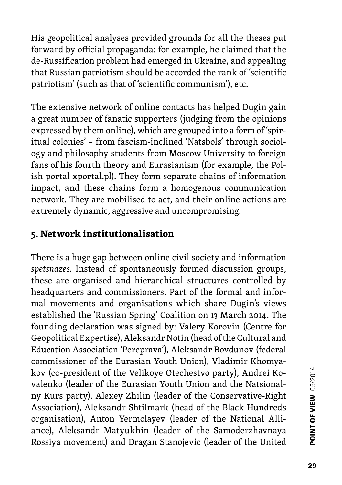His geopolitical analyses provided grounds for all the theses put forward by official propaganda: for example, he claimed that the de-Russification problem had emerged in Ukraine, and appealing that Russian patriotism should be accorded the rank of 'scientific patriotism' (such as that of 'scientific communism'), etc.

The extensive network of online contacts has helped Dugin gain a great number of fanatic supporters (judging from the opinions expressed by them online), which are grouped into a form of 'spiritual colonies' – from fascism-inclined 'Natsbols' through sociology and philosophy students from Moscow University to foreign fans of his fourth theory and Eurasianism (for example, the Polish portal xportal.pl). They form separate chains of information impact, and these chains form a homogenous communication network. They are mobilised to act, and their online actions are extremely dynamic, aggressive and uncompromising.

### **5. Network institutionalisation**

There is a huge gap between online civil society and information *spetsnazes.* Instead of spontaneously formed discussion groups, these are organised and hierarchical structures controlled by headquarters and commissioners. Part of the formal and informal movements and organisations which share Dugin's views established the 'Russian Spring' Coalition on 13 March 2014. The founding declaration was signed by: Valery Korovin (Centre for Geopolitical Expertise), Aleksandr Notin (head of the Cultural and Education Association 'Pereprava'), Aleksandr Bovdunov (federal commissioner of the Eurasian Youth Union), Vladimir Khomyakov (co-president of the Velikoye Otechestvo party), Andrei Kovalenko (leader of the Eurasian Youth Union and the Natsionalny Kurs party), Alexey Zhilin (leader of the Conservative-Right Association), Aleksandr Shtilmark (head of the Black Hundreds organisation), Anton Yermolayev (leader of the National Alliance), Aleksandr Matyukhin (leader of the Samoderzhavnaya Rossiya movement) and Dragan Stanojevic (leader of the United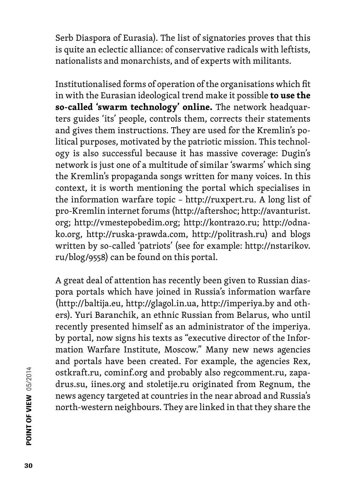Serb Diaspora of Eurasia). The list of signatories proves that this is quite an eclectic alliance: of conservative radicals with leftists, nationalists and monarchists, and of experts with militants.

Institutionalised forms of operation of the organisations which fit in with the Eurasian ideological trend make it possible **to use the so-called 'swarm technology' online.** The network headquarters guides 'its' people, controls them, corrects their statements and gives them instructions. They are used for the Kremlin's political purposes, motivated by the patriotic mission. This technology is also successful because it has massive coverage: Dugin's network is just one of a multitude of similar 'swarms' which sing the Kremlin's propaganda songs written for many voices. In this context, it is worth mentioning the portal which specialises in the information warfare topic – http://ruxpert.ru. A long list of pro-Kremlin internet forums (http://aftershoc; http://avanturist. org; http://vmestepobedim.org; http://kontra20.ru; http://odnako.org, http://ruska-prawda.com, http://politrash.ru) and blogs written by so-called 'patriots' (see for example: http://nstarikov. ru/blog/9558) can be found on this portal.

A great deal of attention has recently been given to Russian diaspora portals which have joined in Russia's information warfare (http://baltija.eu, http://glagol.in.ua, http://imperiya.by and others). Yuri Baranchik, an ethnic Russian from Belarus, who until recently presented himself as an administrator of the imperiya. by portal, now signs his texts as "executive director of the Information Warfare Institute, Moscow." Many new news agencies and portals have been created. For example, the agencies Rex, ostkraft.ru, cominf.org and probably also regcomment.ru, zapadrus.su, iines.org and stoletije.ru originated from Regnum, the news agency targeted at countries in the near abroad and Russia's north-western neighbours. They are linked in that they share the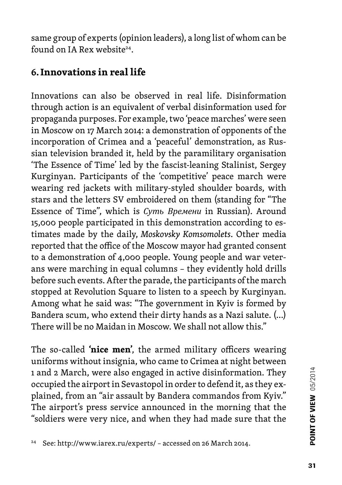same group of experts (opinion leaders), a long list of whom can be found on IA Rex website<sup>24</sup>.

# **6.Innovations in real life**

Innovations can also be observed in real life. Disinformation through action is an equivalent of verbal disinformation used for propaganda purposes. For example, two 'peace marches' were seen in Moscow on 17 March 2014: a demonstration of opponents of the incorporation of Crimea and a 'peaceful' demonstration, as Russian television branded it, held by the paramilitary organisation 'The Essence of Time' led by the fascist-leaning Stalinist, Sergey Kurginyan. Participants of the 'competitive' peace march were wearing red jackets with military-styled shoulder boards, with stars and the letters SV embroidered on them (standing for "The Essence of Time", which is *Суть Времени* in Russian). Around 15,000 people participated in this demonstration according to estimates made by the daily, *Moskovsky Komsomolets*. Other media reported that the office of the Moscow mayor had granted consent to a demonstration of 4,000 people. Young people and war veterans were marching in equal columns – they evidently hold drills before such events. After the parade, the participants of the march stopped at Revolution Square to listen to a speech by Kurginyan. Among what he said was: "The government in Kyiv is formed by Bandera scum, who extend their dirty hands as a Nazi salute. (…) There will be no Maidan in Moscow. We shall not allow this."

The so-called **'nice men'**, the armed military officers wearing uniforms without insignia, who came to Crimea at night between 1 and 2 March, were also engaged in active disinformation. They occupied the airport in Sevastopol in order to defend it, as they explained, from an "air assault by Bandera commandos from Kyiv." The airport's press service announced in the morning that the "soldiers were very nice, and when they had made sure that the

See: http://www.iarex.ru/experts/ - accessed on 26 March 2014.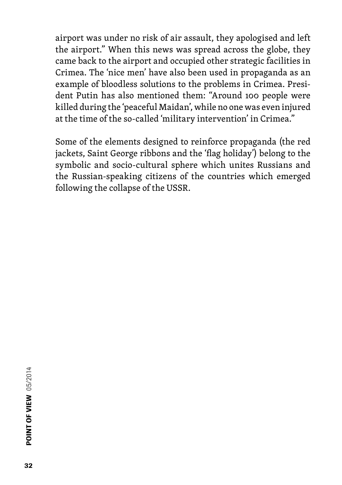airport was under no risk of air assault, they apologised and left the airport." When this news was spread across the globe, they came back to the airport and occupied other strategic facilities in Crimea. The 'nice men' have also been used in propaganda as an example of bloodless solutions to the problems in Crimea. President Putin has also mentioned them: "Around 100 people were killed during the 'peaceful Maidan', while no one was even injured at the time of the so-called 'military intervention' in Crimea."

Some of the elements designed to reinforce propaganda (the red jackets, Saint George ribbons and the 'flag holiday') belong to the symbolic and socio-cultural sphere which unites Russians and the Russian-speaking citizens of the countries which emerged following the collapse of the USSR.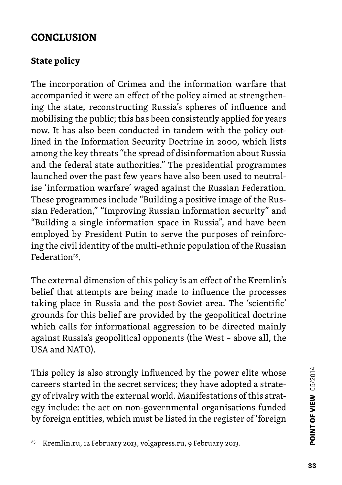# **Conclusion**

### **State policy**

The incorporation of Crimea and the information warfare that accompanied it were an effect of the policy aimed at strengthening the state, reconstructing Russia's spheres of influence and mobilising the public; this has been consistently applied for years now. It has also been conducted in tandem with the policy outlined in the Information Security Doctrine in 2000, which lists among the key threats "the spread of disinformation about Russia and the federal state authorities." The presidential programmes launched over the past few years have also been used to neutralise 'information warfare' waged against the Russian Federation. These programmes include "Building a positive image of the Russian Federation," "Improving Russian information security" and "Building a single information space in Russia", and have been employed by President Putin to serve the purposes of reinforcing the civil identity of the multi-ethnic population of the Russian Federation<sup>25</sup>.

The external dimension of this policy is an effect of the Kremlin's belief that attempts are being made to influence the processes taking place in Russia and the post-Soviet area. The 'scientific' grounds for this belief are provided by the geopolitical doctrine which calls for informational aggression to be directed mainly against Russia's geopolitical opponents (the West – above all, the USA and NATO).

This policy is also strongly influenced by the power elite whose careers started in the secret services; they have adopted a strategy of rivalry with the external world. Manifestations of this strategy include: the act on non-governmental organisations funded by foreign entities, which must be listed in the register of 'foreign

<sup>25</sup> Kremlin.ru, 12 February 2013, volgapress.ru, 9 February 2013.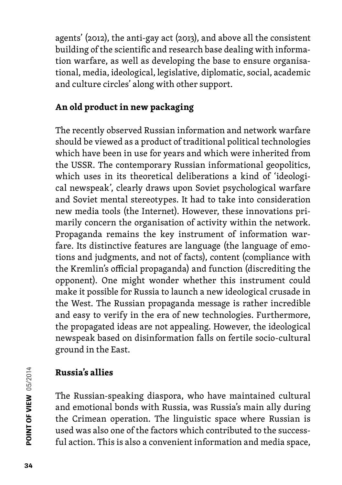agents' (2012), the anti-gay act (2013), and above all the consistent building of the scientific and research base dealing with information warfare, as well as developing the base to ensure organisational, media, ideological, legislative, diplomatic, social, academic and culture circles' along with other support.

### **An old product in new packaging**

The recently observed Russian information and network warfare should be viewed as a product of traditional political technologies which have been in use for years and which were inherited from the USSR. The contemporary Russian informational geopolitics, which uses in its theoretical deliberations a kind of 'ideological newspeak', clearly draws upon Soviet psychological warfare and Soviet mental stereotypes. It had to take into consideration new media tools (the Internet). However, these innovations primarily concern the organisation of activity within the network. Propaganda remains the key instrument of information warfare. Its distinctive features are language (the language of emotions and judgments, and not of facts), content (compliance with the Kremlin's official propaganda) and function (discrediting the opponent). One might wonder whether this instrument could make it possible for Russia to launch a new ideological crusade in the West. The Russian propaganda message is rather incredible and easy to verify in the era of new technologies. Furthermore, the propagated ideas are not appealing. However, the ideological newspeak based on disinformation falls on fertile socio-cultural ground in the East.

### **Russia's allies**

The Russian-speaking diaspora, who have maintained cultural and emotional bonds with Russia, was Russia's main ally during the Crimean operation. The linguistic space where Russian is used was also one of the factors which contributed to the successful action. This is also a convenient information and media space,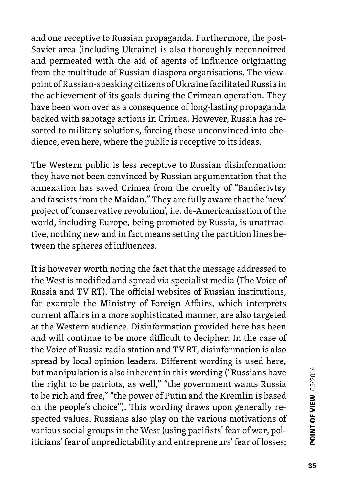and one receptive to Russian propaganda. Furthermore, the post-Soviet area (including Ukraine) is also thoroughly reconnoitred and permeated with the aid of agents of influence originating from the multitude of Russian diaspora organisations. The viewpoint of Russian-speaking citizens of Ukraine facilitated Russia in the achievement of its goals during the Crimean operation. They have been won over as a consequence of long-lasting propaganda backed with sabotage actions in Crimea. However, Russia has resorted to military solutions, forcing those unconvinced into obedience, even here, where the public is receptive to its ideas.

The Western public is less receptive to Russian disinformation: they have not been convinced by Russian argumentation that the annexation has saved Crimea from the cruelty of "Banderivtsy and fascists from the Maidan." They are fully aware that the 'new' project of 'conservative revolution', i.e. de-Americanisation of the world, including Europe, being promoted by Russia, is unattractive, nothing new and in fact means setting the partition lines between the spheres of influences.

It is however worth noting the fact that the message addressed to the West is modified and spread via specialist media (The Voice of Russia and TV RT). The official websites of Russian institutions, for example the Ministry of Foreign Affairs, which interprets current affairs in a more sophisticated manner, are also targeted at the Western audience. Disinformation provided here has been and will continue to be more difficult to decipher. In the case of the Voice of Russia radio station and TV RT, disinformation is also spread by local opinion leaders. Different wording is used here, but manipulation is also inherent in this wording ("Russians have the right to be patriots, as well," "the government wants Russia to be rich and free," "the power of Putin and the Kremlin is based on the people's choice"). This wording draws upon generally respected values. Russians also play on the various motivations of various social groups in the West (using pacifists' fear of war, politicians' fear of unpredictability and entrepreneurs' fear of losses;